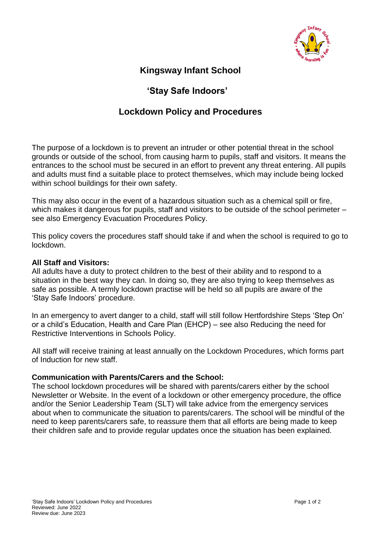

# **Kingsway Infant School**

## **'Stay Safe Indoors'**

### **Lockdown Policy and Procedures**

The purpose of a lockdown is to prevent an intruder or other potential threat in the school grounds or outside of the school, from causing harm to pupils, staff and visitors. It means the entrances to the school must be secured in an effort to prevent any threat entering. All pupils and adults must find a suitable place to protect themselves, which may include being locked within school buildings for their own safety.

This may also occur in the event of a hazardous situation such as a chemical spill or fire, which makes it dangerous for pupils, staff and visitors to be outside of the school perimeter – see also Emergency Evacuation Procedures Policy.

This policy covers the procedures staff should take if and when the school is required to go to lockdown.

#### **All Staff and Visitors:**

All adults have a duty to protect children to the best of their ability and to respond to a situation in the best way they can. In doing so, they are also trying to keep themselves as safe as possible. A termly lockdown practise will be held so all pupils are aware of the 'Stay Safe Indoors' procedure.

In an emergency to avert danger to a child, staff will still follow Hertfordshire Steps 'Step On' or a child's Education, Health and Care Plan (EHCP) – see also Reducing the need for Restrictive Interventions in Schools Policy.

All staff will receive training at least annually on the Lockdown Procedures, which forms part of Induction for new staff.

#### **Communication with Parents/Carers and the School:**

The school lockdown procedures will be shared with parents/carers either by the school Newsletter or Website. In the event of a lockdown or other emergency procedure, the office and/or the Senior Leadership Team (SLT) will take advice from the emergency services about when to communicate the situation to parents/carers. The school will be mindful of the need to keep parents/carers safe, to reassure them that all efforts are being made to keep their children safe and to provide regular updates once the situation has been explained.